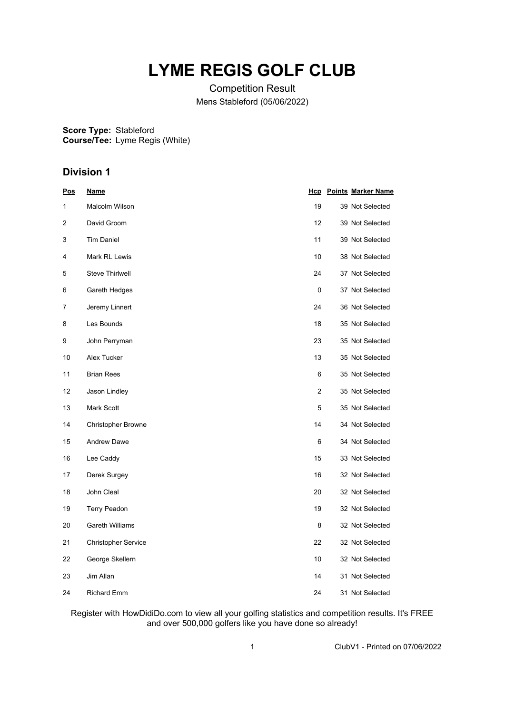## **LYME REGIS GOLF CLUB**

Competition Result Mens Stableford (05/06/2022)

**Score Type:** Stableford **Course/Tee:** Lyme Regis (White)

## **Division 1**

| Pos | <u>Name</u>                |                | <b>Hcp</b> Points Marker Name |
|-----|----------------------------|----------------|-------------------------------|
| 1   | Malcolm Wilson             | 19             | 39 Not Selected               |
| 2   | David Groom                | 12             | 39 Not Selected               |
| 3   | <b>Tim Daniel</b>          | 11             | 39 Not Selected               |
| 4   | Mark RL Lewis              | 10             | 38 Not Selected               |
| 5   | Steve Thirlwell            | 24             | 37 Not Selected               |
| 6   | Gareth Hedges              | 0              | 37 Not Selected               |
| 7   | Jeremy Linnert             | 24             | 36 Not Selected               |
| 8   | Les Bounds                 | 18             | 35 Not Selected               |
| 9   | John Perryman              | 23             | 35 Not Selected               |
| 10  | Alex Tucker                | 13             | 35 Not Selected               |
| 11  | <b>Brian Rees</b>          | 6              | 35 Not Selected               |
| 12  | Jason Lindley              | $\overline{2}$ | 35 Not Selected               |
| 13  | Mark Scott                 | 5              | 35 Not Selected               |
| 14  | <b>Christopher Browne</b>  | 14             | 34 Not Selected               |
| 15  | <b>Andrew Dawe</b>         | 6              | 34 Not Selected               |
| 16  | Lee Caddy                  | 15             | 33 Not Selected               |
| 17  | Derek Surgey               | 16             | 32 Not Selected               |
| 18  | John Cleal                 | 20             | 32 Not Selected               |
| 19  | <b>Terry Peadon</b>        | 19             | 32 Not Selected               |
| 20  | Gareth Williams            | 8              | 32 Not Selected               |
| 21  | <b>Christopher Service</b> | 22             | 32 Not Selected               |
| 22  | George Skellern            | 10             | 32 Not Selected               |
| 23  | Jim Allan                  | 14             | 31 Not Selected               |
| 24  | <b>Richard Emm</b>         | 24             | 31 Not Selected               |

Register with HowDidiDo.com to view all your golfing statistics and competition results. It's FREE and over 500,000 golfers like you have done so already!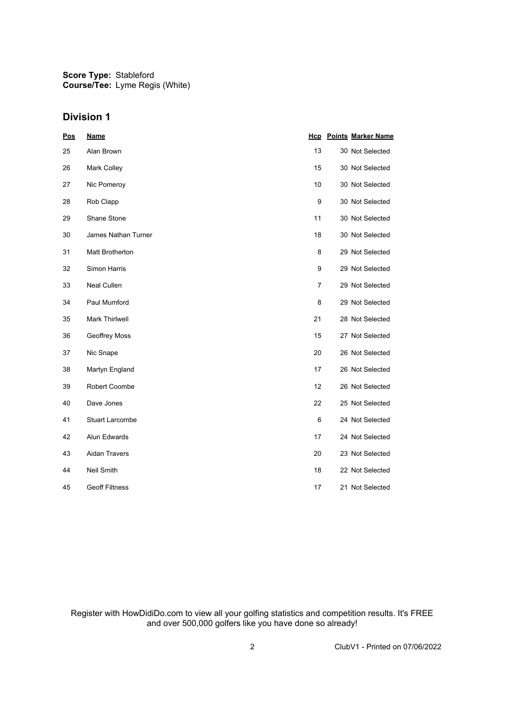**Score Type:** Stableford **Course/Tee:** Lyme Regis (White)

## **Division 1**

| <b>Pos</b> | <b>Name</b>                |                | <b>Hcp</b> Points Marker Name |
|------------|----------------------------|----------------|-------------------------------|
| 25         | Alan Brown                 | 13             | 30 Not Selected               |
| 26         | Mark Colley                | 15             | 30 Not Selected               |
| 27         | Nic Pomeroy                | 10             | 30 Not Selected               |
| 28         | Rob Clapp                  | 9              | 30 Not Selected               |
| 29         | Shane Stone                | 11             | 30 Not Selected               |
| 30         | <b>James Nathan Turner</b> | 18             | 30 Not Selected               |
| 31         | <b>Matt Brotherton</b>     | 8              | 29 Not Selected               |
| 32         | Simon Harris               | 9              | 29 Not Selected               |
| 33         | Neal Cullen                | $\overline{7}$ | 29 Not Selected               |
| 34         | Paul Mumford               | 8              | 29 Not Selected               |
| 35         | <b>Mark Thirlwell</b>      | 21             | 28 Not Selected               |
| 36         | Geoffrey Moss              | 15             | 27 Not Selected               |
| 37         | Nic Snape                  | 20             | 26 Not Selected               |
| 38         | Martyn England             | 17             | 26 Not Selected               |
| 39         | Robert Coombe              | 12             | 26 Not Selected               |
| 40         | Dave Jones                 | 22             | 25 Not Selected               |
| 41         | <b>Stuart Larcombe</b>     | 6              | 24 Not Selected               |
| 42         | Alun Edwards               | 17             | 24 Not Selected               |
| 43         | <b>Aidan Travers</b>       | 20             | 23 Not Selected               |
| 44         | Neil Smith                 | 18             | 22 Not Selected               |
| 45         | <b>Geoff Filtness</b>      | 17             | 21 Not Selected               |

Register with HowDidiDo.com to view all your golfing statistics and competition results. It's FREE and over 500,000 golfers like you have done so already!